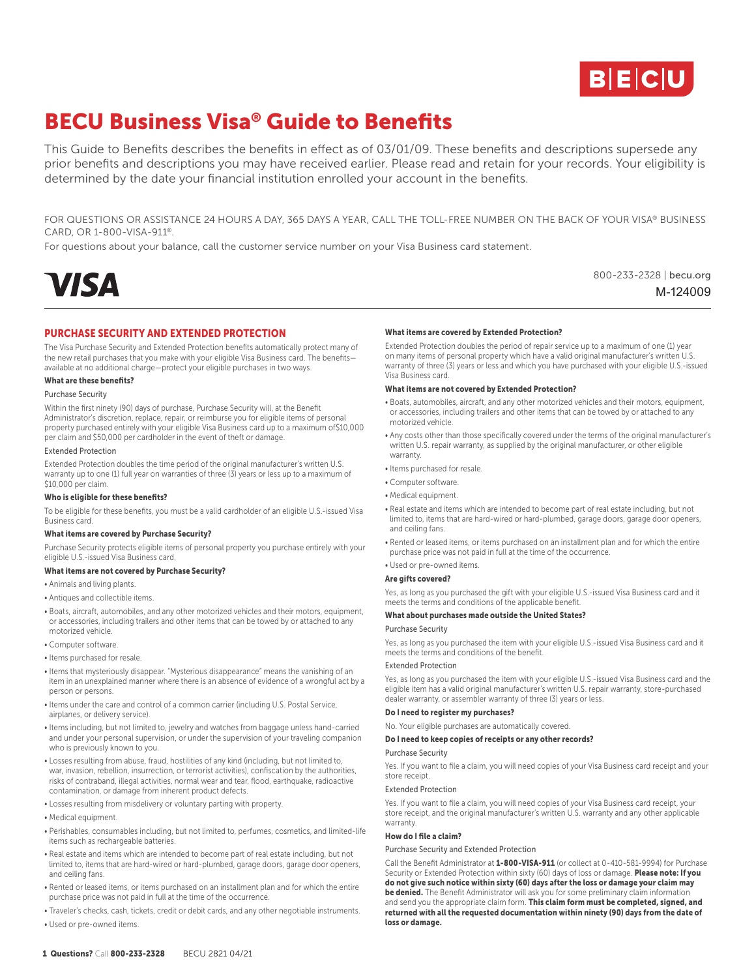

M-124009

800-233-2328 | becu.org

# BECU Business Visa® Guide to Benefits

This Guide to Benefits describes the benefits in effect as of 03/01/09. These benefits and descriptions supersede any prior benefits and descriptions you may have received earlier. Please read and retain for your records. Your eligibility is determined by the date your financial institution enrolled your account in the benefits.

FOR QUESTIONS OR ASSISTANCE 24 HOURS A DAY, 365 DAYS A YEAR, CALL THE TOLL-FREE NUMBER ON THE BACK OF YOUR VISA® BUSINESS CARD, OR 1-800-VISA-911®.

For questions about your balance, call the customer service number on your Visa Business card statement.



# PURCHASE SECURITY AND EXTENDED PROTECTION

The Visa Purchase Security and Extended Protection benefits automatically protect many of the new retail purchases that you make with your eligible Visa Business card. The benefits available at no additional charge—protect your eligible purchases in two ways.

## What are these benefits?

Purchase Security

Within the first ninety (90) days of purchase, Purchase Security will, at the Benefit Administrator's discretion, replace, repair, or reimburse you for eligible items of personal property purchased entirely with your eligible Visa Business card up to a maximum of\$10,000 per claim and \$50,000 per cardholder in the event of theft or damage.

## Extended Protection

Extended Protection doubles the time period of the original manufacturer's written U.S. warranty up to one (1) full year on warranties of three (3) years or less up to a maximum of \$10,000 per claim.

#### Who is eligible for these benefits?

To be eligible for these benefits, you must be a valid cardholder of an eligible U.S.-issued Visa Business card.

#### What items are covered by Purchase Security?

Purchase Security protects eligible items of personal property you purchase entirely with your eligible U.S.-issued Visa Business card.

#### What items are not covered by Purchase Security?

• Animals and living plants.

- Antiques and collectible items.
- Boats, aircraft, automobiles, and any other motorized vehicles and their motors, equipment, or accessories, including trailers and other items that can be towed by or attached to any motorized vehicle.
- Computer software.
- Items purchased for resale.
- Items that mysteriously disappear. "Mysterious disappearance" means the vanishing of an item in an unexplained manner where there is an absence of evidence of a wrongful act by a person or persons.
- Items under the care and control of a common carrier (including U.S. Postal Service, airplanes, or delivery service).
- Items including, but not limited to, jewelry and watches from baggage unless hand-carried and under your personal supervision, or under the supervision of your traveling companion who is previously known to you.
- Losses resulting from abuse, fraud, hostilities of any kind (including, but not limited to, war, invasion, rebellion, insurrection, or terrorist activities), confiscation by the authorities, risks of contraband, illegal activities, normal wear and tear, flood, earthquake, radioactive contamination, or damage from inherent product defects.
- Losses resulting from misdelivery or voluntary parting with property.
- Medical equipment.
- Perishables, consumables including, but not limited to, perfumes, cosmetics, and limited-life items such as rechargeable batteries.
- Real estate and items which are intended to become part of real estate including, but not limited to, items that are hard-wired or hard-plumbed, garage doors, garage door openers, and ceiling fans.
- Rented or leased items, or items purchased on an installment plan and for which the entire purchase price was not paid in full at the time of the occurrence.
- Traveler's checks, cash, tickets, credit or debit cards, and any other negotiable instruments. • Used or pre-owned items.

## What items are covered by Extended Protection?

Extended Protection doubles the period of repair service up to a maximum of one (1) year on many items of personal property which have a valid original manufacturer's written U.S. warranty of three (3) years or less and which you have purchased with your eligible U.S.-issued Visa Business card.

#### What items are not covered by Extended Protection?

- Boats, automobiles, aircraft, and any other motorized vehicles and their motors, equipment, or accessories, including trailers and other items that can be towed by or attached to any motorized vehicle.
- Any costs other than those specifically covered under the terms of the original manufacturer's written U.S. repair warranty, as supplied by the original manufacturer, or other eligible warranty.
- Items purchased for resale.
- Computer software.
- Medical equipment.
- Real estate and items which are intended to become part of real estate including, but not limited to, items that are hard-wired or hard-plumbed, garage doors, garage door openers, and ceiling fans.
- Rented or leased items, or items purchased on an installment plan and for which the entire purchase price was not paid in full at the time of the occurrence.
- Used or pre-owned items.

#### Are gifts covered?

Yes, as long as you purchased the gift with your eligible U.S.-issued Visa Business card and it meets the terms and conditions of the applicable benefit.

#### What about purchases made outside the United States?

## Purchase Security

Yes, as long as you purchased the item with your eligible U.S.-issued Visa Business card and it meets the terms and conditions of the benefit.

## Extended Protection

Yes, as long as you purchased the item with your eligible U.S.-issued Visa Business card and the eligible item has a valid original manufacturer's written U.S. repair warranty, store-purchased dealer warranty, or assembler warranty of three (3) years or less.

#### Do I need to register my purchases?

No. Your eligible purchases are automatically covered.

#### Do I need to keep copies of receipts or any other records?

Purchase Security

Yes. If you want to file a claim, you will need copies of your Visa Business card receipt and your store receipt.

#### Extended Protection

Yes. If you want to file a claim, you will need copies of your Visa Business card receipt, your store receipt, and the original manufacturer's written U.S. warranty and any other applicable warranty

#### How do I file a claim?

#### Purchase Security and Extended Protection

Call the Benefit Administrator at 1-800-VISA-911 (or collect at 0-410-581-9994) for Purchase Security or Extended Protection within sixty (60) days of loss or damage. Please note: If you do not give such notice within sixty (60) days after the loss or damage your claim may be denied. The Benefit Administrator will ask you for some preliminary claim information and send you the appropriate claim form. This claim form must be completed, signed, and returned with all the requested documentation within ninety (90) days from the date of loss or damage.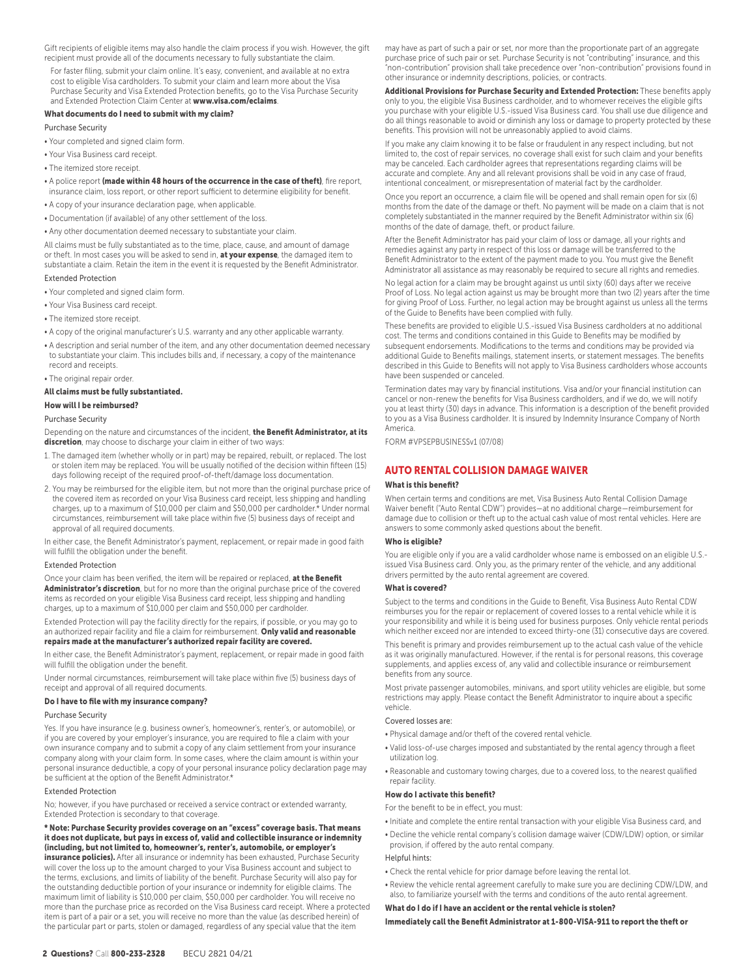Gift recipients of eligible items may also handle the claim process if you wish. However, the gift recipient must provide all of the documents necessary to fully substantiate the claim.

For faster filing, submit your claim online. It's easy, convenient, and available at no extra cost to eligible Visa cardholders. To submit your claim and learn more about the Visa Purchase Security and Visa Extended Protection benefits, go to the Visa Purchase Security and Extended Protection Claim Center at www.visa.com/eclaims.

#### What documents do I need to submit with my claim?

## Purchase Security

- Your completed and signed claim form.
- Your Visa Business card receipt.
- The itemized store receipt.
- A police report (made within 48 hours of the occurrence in the case of theft), fire report, insurance claim, loss report, or other report sufficient to determine eligibility for benefit.
- A copy of your insurance declaration page, when applicable.
- Documentation (if available) of any other settlement of the loss.
- Any other documentation deemed necessary to substantiate your claim.

All claims must be fully substantiated as to the time, place, cause, and amount of damage or theft. In most cases you will be asked to send in, at your expense, the damaged item to substantiate a claim. Retain the item in the event it is requested by the Benefit Administrator.

#### Extended Protection

- Your completed and signed claim form.
- Your Visa Business card receipt.
- The itemized store receipt.
- A copy of the original manufacturer's U.S. warranty and any other applicable warranty.
- A description and serial number of the item, and any other documentation deemed necessary to substantiate your claim. This includes bills and, if necessary, a copy of the maintenance record and receipts.
- The original repair order.

## All claims must be fully substantiated.

# How will I be reimbursed?

## Purchase Security

Depending on the nature and circumstances of the incident, the Benefit Administrator, at its discretion, may choose to discharge your claim in either of two ways

- 1. The damaged item (whether wholly or in part) may be repaired, rebuilt, or replaced. The lost or stolen item may be replaced. You will be usually notified of the decision within fifteen (15) days following receipt of the required proof-of-theft/damage loss documentation.
- 2. You may be reimbursed for the eligible item, but not more than the original purchase price of the covered item as recorded on your Visa Business card receipt, less shipping and handling charges, up to a maximum of \$10,000 per claim and \$50,000 per cardholder.\* Under normal circumstances, reimbursement will take place within five (5) business days of receipt and approval of all required documents.

In either case, the Benefit Administrator's payment, replacement, or repair made in good faith will fulfill the obligation under the benefit.

## Extended Protection

Once your claim has been verified, the item will be repaired or replaced, at the Benefit Administrator's discretion, but for no more than the original purchase price of the covered items as recorded on your eligible Visa Business card receipt, less shipping and handling charges, up to a maximum of \$10,000 per claim and \$50,000 per cardholder.

Extended Protection will pay the facility directly for the repairs, if possible, or you may go to an authorized repair facility and file a claim for reimbursement. Only valid and reasonable repairs made at the manufacturer's authorized repair facility are covered.

In either case, the Benefit Administrator's payment, replacement, or repair made in good faith will fulfill the obligation under the benefit

Under normal circumstances, reimbursement will take place within five (5) business days of receipt and approval of all required documents.

#### Do I have to file with my insurance company?

## Purchase Security

Yes. If you have insurance (e.g. business owner's, homeowner's, renter's, or automobile), or if you are covered by your employer's insurance, you are required to file a claim with your own insurance company and to submit a copy of any claim settlement from your insurance company along with your claim form. In some cases, where the claim amount is within your personal insurance deductible, a copy of your personal insurance policy declaration page may be sufficient at the option of the Benefit Administrator.\*

#### Extended Protection

No; however, if you have purchased or received a service contract or extended warranty, Extended Protection is secondary to that coverage.

\* Note: Purchase Security provides coverage on an "excess" coverage basis. That means it does not duplicate, but pays in excess of, valid and collectible insurance or indemnity (including, but not limited to, homeowner's, renter's, automobile, or employer's

insurance policies). After all insurance or indemnity has been exhausted, Purchase Security will cover the loss up to the amount charged to your Visa Business account and subject to the terms, exclusions, and limits of liability of the benefit. Purchase Security will also pay for the outstanding deductible portion of your insurance or indemnity for eligible claims. The maximum limit of liability is \$10,000 per claim, \$50,000 per cardholder. You will receive no more than the purchase price as recorded on the Visa Business card receipt. Where a protected item is part of a pair or a set, you will receive no more than the value (as described herein) of the particular part or parts, stolen or damaged, regardless of any special value that the item

may have as part of such a pair or set, nor more than the proportionate part of an aggregate purchase price of such pair or set. Purchase Security is not "contributing" insurance, and this "non-contribution" provision shall take precedence over "non-contribution" provisions found in other insurance or indemnity descriptions, policies, or contracts.

Additional Provisions for Purchase Security and Extended Protection: These benefits apply only to you, the eligible Visa Business cardholder, and to whomever receives the eligible gifts you purchase with your eligible U.S.-issued Visa Business card. You shall use due diligence and do all things reasonable to avoid or diminish any loss or damage to property protected by these benefits. This provision will not be unreasonably applied to avoid claims.

If you make any claim knowing it to be false or fraudulent in any respect including, but not limited to, the cost of repair services, no coverage shall exist for such claim and your benefits may be canceled. Each cardholder agrees that representations regarding claims will be accurate and complete. Any and all relevant provisions shall be void in any case of fraud, intentional concealment, or misrepresentation of material fact by the cardholder.

Once you report an occurrence, a claim file will be opened and shall remain open for six (6) months from the date of the damage or theft. No payment will be made on a claim that is not completely substantiated in the manner required by the Benefit Administrator within six (6) months of the date of damage, theft, or product failure.

After the Benefit Administrator has paid your claim of loss or damage, all your rights and remedies against any party in respect of this loss or damage will be transferred to the Benefit Administrator to the extent of the payment made to you. You must give the Benefit Administrator all assistance as may reasonably be required to secure all rights and remedies.

No legal action for a claim may be brought against us until sixty (60) days after we receive Proof of Loss. No legal action against us may be brought more than two (2) years after the time for giving Proof of Loss. Further, no legal action may be brought against us unless all the terms of the Guide to Benefits have been complied with fully.

These benefits are provided to eligible U.S.-issued Visa Business cardholders at no additional cost. The terms and conditions contained in this Guide to Benefits may be modified by subsequent endorsements. Modifications to the terms and conditions may be provided via additional Guide to Benefits mailings, statement inserts, or statement messages. The benefits described in this Guide to Benefits will not apply to Visa Business cardholders whose accounts have been suspended or canceled.

Termination dates may vary by financial institutions. Visa and/or your financial institution can cancel or non-renew the benefits for Visa Business cardholders, and if we do, we will notify you at least thirty (30) days in advance. This information is a description of the benefit provided to you as a Visa Business cardholder. It is insured by Indemnity Insurance Company of North America.

FORM #VPSEPBUSINESSv1 (07/08)

# AUTO RENTAL COLLISION DAMAGE WAIVER

#### What is this benefit?

When certain terms and conditions are met, Visa Business Auto Rental Collision Damage Waiver benefit ("Auto Rental CDW") provides—at no additional charge—reimbursement for damage due to collision or theft up to the actual cash value of most rental vehicles. Here are answers to some commonly asked questions about the benefit.

## Who is eligible?

You are eligible only if you are a valid cardholder whose name is embossed on an eligible U.S. issued Visa Business card. Only you, as the primary renter of the vehicle, and any additional drivers permitted by the auto rental agreement are covered.

#### What is covered?

Subject to the terms and conditions in the Guide to Benefit, Visa Business Auto Rental CDW reimburses you for the repair or replacement of covered losses to a rental vehicle while it is your responsibility and while it is being used for business purposes. Only vehicle rental periods which neither exceed nor are intended to exceed thirty-one (31) consecutive days are covered.

This benefit is primary and provides reimbursement up to the actual cash value of the vehicle as it was originally manufactured. However, if the rental is for personal reasons, this coverage supplements, and applies excess of, any valid and collectible insurance or reimbursement benefits from any source.

Most private passenger automobiles, minivans, and sport utility vehicles are eligible, but some restrictions may apply. Please contact the Benefit Administrator to inquire about a specific vehicle.

## Covered losses are:

- Physical damage and/or theft of the covered rental vehicle.
- Valid loss-of-use charges imposed and substantiated by the rental agency through a fleet utilization log.
- Reasonable and customary towing charges, due to a covered loss, to the nearest qualified repair facility.

## How do I activate this benefit?

- For the benefit to be in effect, you must:
- Initiate and complete the entire rental transaction with your eligible Visa Business card, and
- Decline the vehicle rental company's collision damage waiver (CDW/LDW) option, or similar provision, if offered by the auto rental company.

#### Helpful hints:

- Check the rental vehicle for prior damage before leaving the rental lot.
- Review the vehicle rental agreement carefully to make sure you are declining CDW/LDW, and also, to familiarize yourself with the terms and conditions of the auto rental agreement.

# What do I do if I have an accident or the rental vehicle is stolen? Immediately call the Benefit Administrator at 1-800-VISA-911 to report the theft or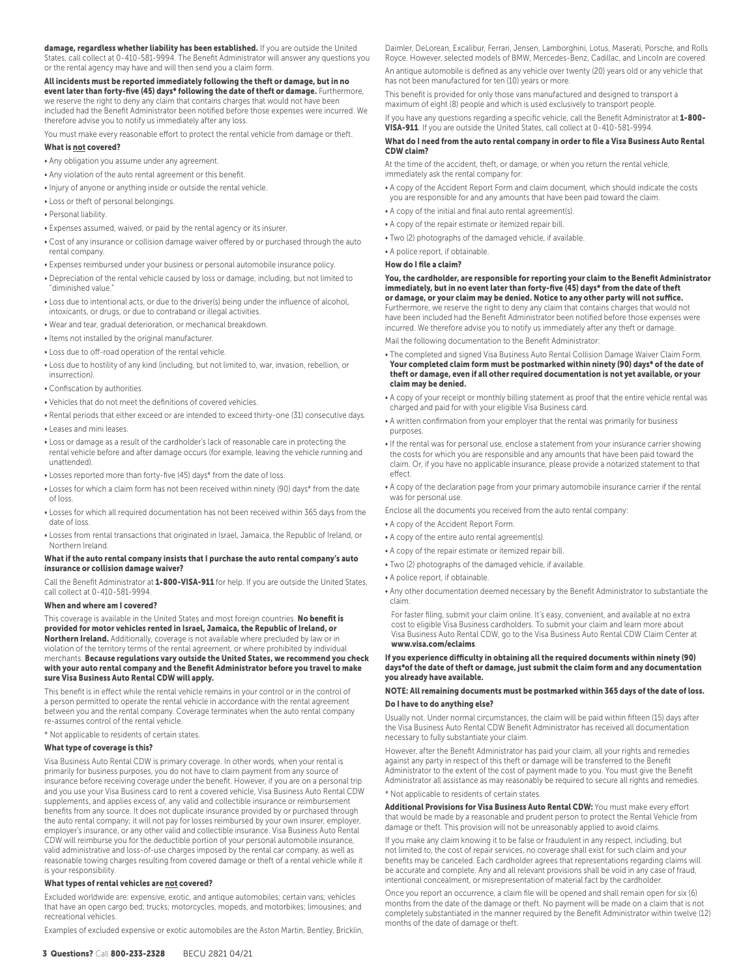damage, regardless whether liability has been established. If you are outside the United States, call collect at 0-410-581-9994. The Benefit Administrator will answer any questions you or the rental agency may have and will then send you a claim form.

All incidents must be reported immediately following the theft or damage, but in no event later than forty-five (45) days\* following the date of theft or damage. Furthermore, we reserve the right to deny any claim that contains charges that would not have been included had the Benefit Administrator been notified before those expenses were incurred. We therefore advise you to notify us immediately after any loss.

You must make every reasonable effort to protect the rental vehicle from damage or theft.

## What is not covered?

- Any obligation you assume under any agreement.
- Any violation of the auto rental agreement or this benefit.
- Injury of anyone or anything inside or outside the rental vehicle.
- Loss or theft of personal belongings.
- Personal liability.
- Expenses assumed, waived, or paid by the rental agency or its insurer.
- Cost of any insurance or collision damage waiver offered by or purchased through the auto rental company.
- Expenses reimbursed under your business or personal automobile insurance policy.
- Depreciation of the rental vehicle caused by loss or damage, including, but not limited to "diminished value."
- Loss due to intentional acts, or due to the driver(s) being under the influence of alcohol, intoxicants, or drugs, or due to contraband or illegal activities.
- Wear and tear, gradual deterioration, or mechanical breakdown.
- Items not installed by the original manufacturer.
- Loss due to off-road operation of the rental vehicle.
- Loss due to hostility of any kind (including, but not limited to, war, invasion, rebellion, or insurrection).
- Confiscation by authorities.
- Vehicles that do not meet the definitions of covered vehicles.
- Rental periods that either exceed or are intended to exceed thirty-one (31) consecutive days. • Leases and mini leases.
- Loss or damage as a result of the cardholder's lack of reasonable care in protecting the rental vehicle before and after damage occurs (for example, leaving the vehicle running and unattended).
- Losses reported more than forty-five (45) days\* from the date of loss.
- Losses for which a claim form has not been received within ninety (90) days\* from the date of loss.
- Losses for which all required documentation has not been received within 365 days from the date of loss.
- Losses from rental transactions that originated in Israel, Jamaica, the Republic of Ireland, or Northern Ireland.

#### What if the auto rental company insists that I purchase the auto rental company's auto insurance or collision damage waiver?

Call the Benefit Administrator at 1-800-VISA-911 for help. If you are outside the United States, call collect at 0-410-581-9994.

## When and where am I covered?

This coverage is available in the United States and most foreign countries. No benefit is provided for motor vehicles rented in Israel, Jamaica, the Republic of Ireland, or Northern Ireland. Additionally, coverage is not available where precluded by law or in violation of the territory terms of the rental agreement, or where prohibited by individual merchants. Because regulations vary outside the United States, we recommend you check with your auto rental company and the Benefit Administrator before you travel to make sure Visa Business Auto Rental CDW will apply.

This benefit is in effect while the rental vehicle remains in your control or in the control of a person permitted to operate the rental vehicle in accordance with the rental agreement between you and the rental company. Coverage terminates when the auto rental company re-assumes control of the rental vehicle.

\* Not applicable to residents of certain states.

#### What type of coverage is this?

Visa Business Auto Rental CDW is primary coverage. In other words, when your rental is primarily for business purposes, you do not have to claim payment from any source of insurance before receiving coverage under the benefit. However, if you are on a personal trip and you use your Visa Business card to rent a covered vehicle, Visa Business Auto Rental CDW supplements, and applies excess of, any valid and collectible insurance or reimbursement benefits from any source. It does not duplicate insurance provided by or purchased through the auto rental company; it will not pay for losses reimbursed by your own insurer, employer, employer's insurance, or any other valid and collectible insurance. Visa Business Auto Rental CDW will reimburse you for the deductible portion of your personal automobile insurance, valid administrative and loss-of-use charges imposed by the rental car company, as well as reasonable towing charges resulting from covered damage or theft of a rental vehicle while it is your responsibility.

## What types of rental vehicles are not covered?

Excluded worldwide are: expensive, exotic, and antique automobiles; certain vans; vehicles that have an open cargo bed; trucks; motorcycles, mopeds, and motorbikes; limousines; and recreational vehicles.

Examples of excluded expensive or exotic automobiles are the Aston Martin, Bentley, Bricklin,

This benefit is provided for only those vans manufactured and designed to transport a maximum of eight (8) people and which is used exclusively to transport people.

If you have any questions regarding a specific vehicle, call the Benefit Administrator at 1-800-VISA-911. If you are outside the United States, call collect at 0-410-581-9994.

#### What do I need from the auto rental company in order to file a Visa Business Auto Rental CDW claim?

At the time of the accident, theft, or damage, or when you return the rental vehicle, immediately ask the rental company for:

- A copy of the Accident Report Form and claim document, which should indicate the costs you are responsible for and any amounts that have been paid toward the claim.
- A copy of the initial and final auto rental agreement(s).
- A copy of the repair estimate or itemized repair bill.
- Two (2) photographs of the damaged vehicle, if available.
- A police report, if obtainable.

## How do I file a claim?

## You, the cardholder, are responsible for reporting your claim to the Benefit Administrator immediately, but in no event later than forty-five (45) days\* from the date of theft or damage, or your claim may be denied. Notice to any other party will not suffice.

Furthermore, we reserve the right to deny any claim that contains charges that would not have been included had the Benefit Administrator been notified before those expenses were incurred. We therefore advise you to notify us immediately after any theft or damage.

Mail the following documentation to the Benefit Administrator:

- The completed and signed Visa Business Auto Rental Collision Damage Waiver Claim Form. Your completed claim form must be postmarked within ninety (90) days\* of the date of theft or damage, even if all other required documentation is not yet available, or your claim may be denied.
- A copy of your receipt or monthly billing statement as proof that the entire vehicle rental was charged and paid for with your eligible Visa Business card.
- A written confirmation from your employer that the rental was primarily for business purposes.
- If the rental was for personal use, enclose a statement from your insurance carrier showing the costs for which you are responsible and any amounts that have been paid toward the claim. Or, if you have no applicable insurance, please provide a notarized statement to that effect.
- A copy of the declaration page from your primary automobile insurance carrier if the rental was for personal use.

Enclose all the documents you received from the auto rental company:

- A copy of the Accident Report Form.
- A copy of the entire auto rental agreement(s).
- A copy of the repair estimate or itemized repair bill.
- Two (2) photographs of the damaged vehicle, if available.
- A police report, if obtainable.
- Any other documentation deemed necessary by the Benefit Administrator to substantiate the claim.

For faster filing, submit your claim online. It's easy, convenient, and available at no extra cost to eligible Visa Business cardholders. To submit your claim and learn more about Visa Business Auto Rental CDW, go to the Visa Business Auto Rental CDW Claim Center at www.visa.com/eclaims.

## If you experience difficulty in obtaining all the required documents within ninety (90) days\*of the date of theft or damage, just submit the claim form and any documentation you already have available.

# NOTE: All remaining documents must be postmarked within 365 days of the date of loss. Do I have to do anything else?

Usually not. Under normal circumstances, the claim will be paid within fifteen (15) days after the Visa Business Auto Rental CDW Benefit Administrator has received all documentation necessary to fully substantiate your claim.

However, after the Benefit Administrator has paid your claim, all your rights and remedies against any party in respect of this theft or damage will be transferred to the Benefit Administrator to the extent of the cost of payment made to you. You must give the Benefit Administrator all assistance as may reasonably be required to secure all rights and remedies.

## \* Not applicable to residents of certain states.

Additional Provisions for Visa Business Auto Rental CDW: You must make every effort that would be made by a reasonable and prudent person to protect the Rental Vehicle from damage or theft. This provision will not be unreasonably applied to avoid claims.

If you make any claim knowing it to be false or fraudulent in any respect, including, but not limited to, the cost of repair services, no coverage shall exist for such claim and your benefits may be canceled. Each cardholder agrees that representations regarding claims will be accurate and complete. Any and all relevant provisions shall be void in any case of fraud, intentional concealment, or misrepresentation of material fact by the cardholder.

Once you report an occurrence, a claim file will be opened and shall remain open for six (6) months from the date of the damage or theft. No payment will be made on a claim that is not completely substantiated in the manner required by the Benefit Administrator within twelve (12) months of the date of damage or theft.